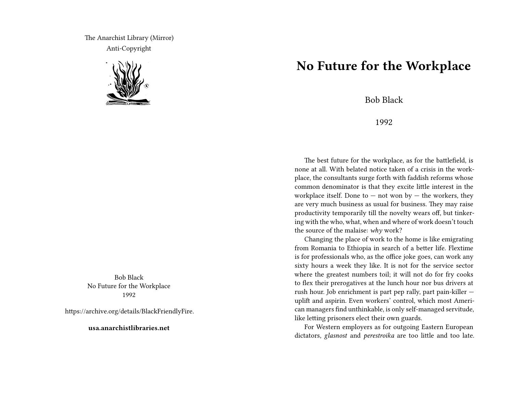The Anarchist Library (Mirror) Anti-Copyright



Bob Black No Future for the Workplace 1992

https://archive.org/details/BlackFriendlyFire.

**usa.anarchistlibraries.net**

## **No Future for the Workplace**

Bob Black

1992

The best future for the workplace, as for the battlefield, is none at all. With belated notice taken of a crisis in the workplace, the consultants surge forth with faddish reforms whose common denominator is that they excite little interest in the workplace itself. Done to  $-$  not won by  $-$  the workers, they are very much business as usual for business. They may raise productivity temporarily till the novelty wears off, but tinkering with the who, what, when and where of work doesn't touch the source of the malaise: *why* work?

Changing the place of work to the home is like emigrating from Romania to Ethiopia in search of a better life. Flextime is for professionals who, as the office joke goes, can work any sixty hours a week they like. It is not for the service sector where the greatest numbers toil; it will not do for fry cooks to flex their prerogatives at the lunch hour nor bus drivers at rush hour. Job enrichment is part pep rally, part pain-killer uplift and aspirin. Even workers' control, which most American managers find unthinkable, is only self-managed servitude, like letting prisoners elect their own guards.

For Western employers as for outgoing Eastern European dictators, *glasnost* and *perestroika* are too little and too late.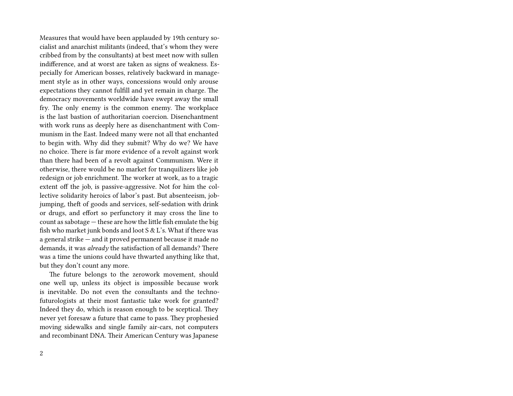Measures that would have been applauded by 19th century socialist and anarchist militants (indeed, that's whom they were cribbed from by the consultants) at best meet now with sullen indifference, and at worst are taken as signs of weakness. Especially for American bosses, relatively backward in management style as in other ways, concessions would only arouse expectations they cannot fulfill and yet remain in charge. The democracy movements worldwide have swept away the small fry. The only enemy is the common enemy. The workplace is the last bastion of authoritarian coercion. Disenchantment with work runs as deeply here as disenchantment with Communism in the East. Indeed many were not all that enchanted to begin with. Why did they submit? Why do we? We have no choice. There is far more evidence of a revolt against work than there had been of a revolt against Communism. Were it otherwise, there would be no market for tranquilizers like job redesign or job enrichment. The worker at work, as to a tragic extent off the job, is passive-aggressive. Not for him the collective solidarity heroics of labor's past. But absenteeism, jobjumping, theft of goods and services, self-sedation with drink or drugs, and effort so perfunctory it may cross the line to count as sabotage — these are how the little fish emulate the big fish who market junk bonds and loot S & L's. What if there was a general strike — and it proved permanent because it made no demands, it was *already* the satisfaction of all demands? There was a time the unions could have thwarted anything like that, but they don't count any more.

The future belongs to the zerowork movement, should one well up, unless its object is impossible because work is inevitable. Do not even the consultants and the technofuturologists at their most fantastic take work for granted? Indeed they do, which is reason enough to be sceptical. They never yet foresaw a future that came to pass. They prophesied moving sidewalks and single family air-cars, not computers and recombinant DNA. Their American Century was Japanese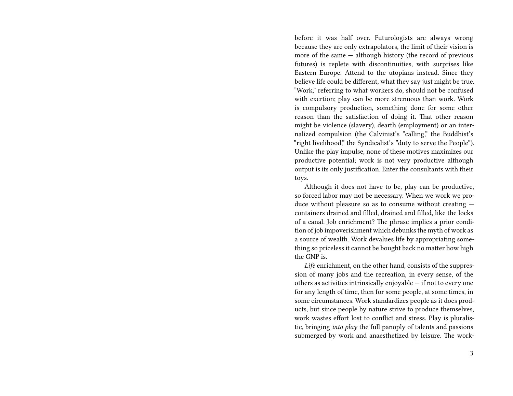before it was half over. Futurologists are always wrong because they are only extrapolators, the limit of their vision is more of the same — although history (the record of previous futures) is replete with discontinuities, with surprises like Eastern Europe. Attend to the utopians instead. Since they believe life could be different, what they say just might be true. "Work," referring to what workers do, should not be confused with exertion; play can be more strenuous than work. Work is compulsory production, something done for some other reason than the satisfaction of doing it. That other reason might be violence (slavery), dearth (employment) or an internalized compulsion (the Calvinist's "calling," the Buddhist's "right livelihood," the Syndicalist's "duty to serve the People"). Unlike the play impulse, none of these motives maximizes our productive potential; work is not very productive although output is its only justification. Enter the consultants with their toys.

Although it does not have to be, play can be productive, so forced labor may not be necessary. When we work we produce without pleasure so as to consume without creating containers drained and filled, drained and filled, like the locks of a canal. Job enrichment? The phrase implies a prior condition of job impoverishment which debunks the myth of work as a source of wealth. Work devalues life by appropriating something so priceless it cannot be bought back no matter how high the GNP is.

*Life* enrichment, on the other hand, consists of the suppression of many jobs and the recreation, in every sense, of the others as activities intrinsically enjoyable — if not to every one for any length of time, then for some people, at some times, in some circumstances. Work standardizes people as it does products, but since people by nature strive to produce themselves, work wastes effort lost to conflict and stress. Play is pluralistic, bringing *into play* the full panoply of talents and passions submerged by work and anaesthetized by leisure. The work